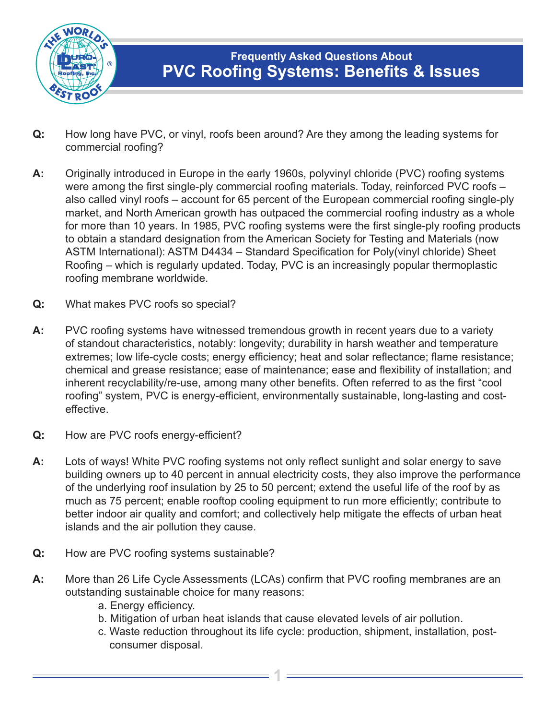

- **Q:** How long have PVC, or vinyl, roofs been around? Are they among the leading systems for commercial roofing?
- **A:** Originally introduced in Europe in the early 1960s, polyvinyl chloride (PVC) roofing systems were among the first single-ply commercial roofing materials. Today, reinforced PVC roofs – also called vinyl roofs – account for 65 percent of the European commercial roofing single-ply market, and North American growth has outpaced the commercial roofing industry as a whole for more than 10 years. In 1985, PVC roofing systems were the first single-ply roofing products to obtain a standard designation from the American Society for Testing and Materials (now ASTM International): ASTM D4434 – Standard Specification for Poly(vinyl chloride) Sheet Roofing – which is regularly updated. Today, PVC is an increasingly popular thermoplastic roofing membrane worldwide.
- **Q:** What makes PVC roofs so special?
- **A:** PVC roofing systems have witnessed tremendous growth in recent years due to a variety of standout characteristics, notably: longevity; durability in harsh weather and temperature extremes; low life-cycle costs; energy efficiency; heat and solar reflectance; flame resistance; chemical and grease resistance; ease of maintenance; ease and flexibility of installation; and inherent recyclability/re-use, among many other benefits. Often referred to as the first "cool roofing" system, PVC is energy-efficient, environmentally sustainable, long-lasting and costeffective.
- **Q:** How are PVC roofs energy-efficient?
- **A:** Lots of ways! White PVC roofing systems not only reflect sunlight and solar energy to save building owners up to 40 percent in annual electricity costs, they also improve the performance of the underlying roof insulation by 25 to 50 percent; extend the useful life of the roof by as much as 75 percent; enable rooftop cooling equipment to run more efficiently; contribute to better indoor air quality and comfort; and collectively help mitigate the effects of urban heat islands and the air pollution they cause.
- **Q:** How are PVC roofing systems sustainable?
- **A:** More than 26 Life Cycle Assessments (LCAs) confirm that PVC roofing membranes are an outstanding sustainable choice for many reasons:
	- a. Energy efficiency.
	- b. Mitigation of urban heat islands that cause elevated levels of air pollution.

**1**

c. Waste reduction throughout its life cycle: production, shipment, installation, postconsumer disposal.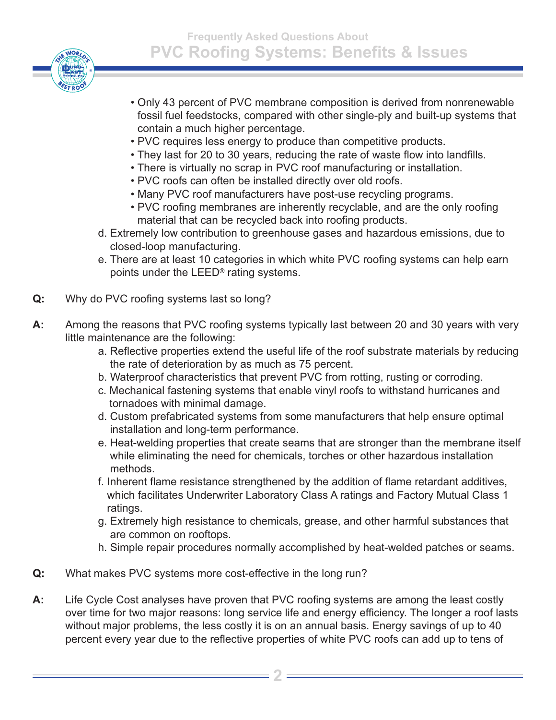

- Only 43 percent of PVC membrane composition is derived from nonrenewable fossil fuel feedstocks, compared with other single-ply and built-up systems that contain a much higher percentage.
- PVC requires less energy to produce than competitive products.
- They last for 20 to 30 years, reducing the rate of waste flow into landfills.
- There is virtually no scrap in PVC roof manufacturing or installation.
- PVC roofs can often be installed directly over old roofs.
- Many PVC roof manufacturers have post-use recycling programs.
- PVC roofing membranes are inherently recyclable, and are the only roofing material that can be recycled back into roofing products.
- d. Extremely low contribution to greenhouse gases and hazardous emissions, due to closed-loop manufacturing.
- e. There are at least 10 categories in which white PVC roofing systems can help earn points under the LEED® rating systems.
- **Q:** Why do PVC roofing systems last so long?
- **A:** Among the reasons that PVC roofing systems typically last between 20 and 30 years with very little maintenance are the following:
	- a. Reflective properties extend the useful life of the roof substrate materials by reducing the rate of deterioration by as much as 75 percent.
	- b. Waterproof characteristics that prevent PVC from rotting, rusting or corroding.
	- c. Mechanical fastening systems that enable vinyl roofs to withstand hurricanes and tornadoes with minimal damage.
	- d. Custom prefabricated systems from some manufacturers that help ensure optimal installation and long-term performance.
	- e. Heat-welding properties that create seams that are stronger than the membrane itself while eliminating the need for chemicals, torches or other hazardous installation methods.
	- f. Inherent flame resistance strengthened by the addition of flame retardant additives, which facilitates Underwriter Laboratory Class A ratings and Factory Mutual Class 1 ratings.
	- g. Extremely high resistance to chemicals, grease, and other harmful substances that are common on rooftops.
	- h. Simple repair procedures normally accomplished by heat-welded patches or seams.
- **Q:** What makes PVC systems more cost-effective in the long run?
- **A:** Life Cycle Cost analyses have proven that PVC roofing systems are among the least costly over time for two major reasons: long service life and energy efficiency. The longer a roof lasts without major problems, the less costly it is on an annual basis. Energy savings of up to 40 percent every year due to the reflective properties of white PVC roofs can add up to tens of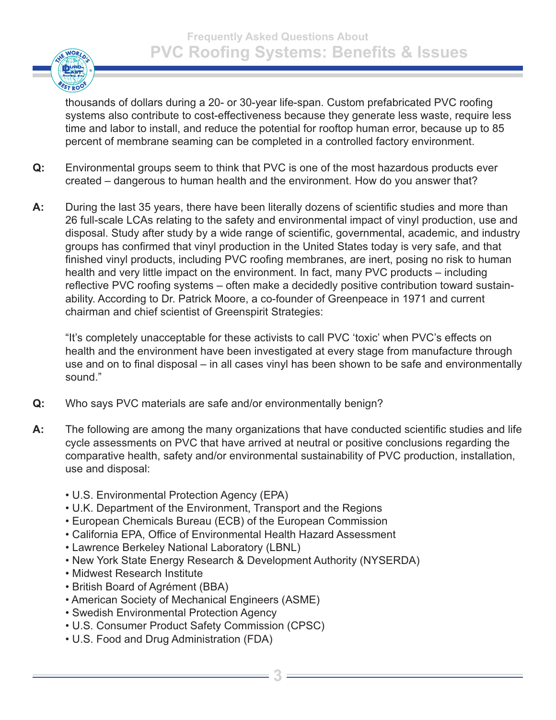

thousands of dollars during a 20- or 30-year life-span. Custom prefabricated PVC roofing systems also contribute to cost-effectiveness because they generate less waste, require less time and labor to install, and reduce the potential for rooftop human error, because up to 85 percent of membrane seaming can be completed in a controlled factory environment.

- **Q:** Environmental groups seem to think that PVC is one of the most hazardous products ever created – dangerous to human health and the environment. How do you answer that?
- **A:** During the last 35 years, there have been literally dozens of scientific studies and more than 26 full-scale LCAs relating to the safety and environmental impact of vinyl production, use and disposal. Study after study by a wide range of scientific, governmental, academic, and industry groups has confirmed that vinyl production in the United States today is very safe, and that finished vinyl products, including PVC roofing membranes, are inert, posing no risk to human health and very little impact on the environment. In fact, many PVC products – including reflective PVC roofing systems – often make a decidedly positive contribution toward sustainability. According to Dr. Patrick Moore, a co-founder of Greenpeace in 1971 and current chairman and chief scientist of Greenspirit Strategies:

"It's completely unacceptable for these activists to call PVC 'toxic' when PVC's effects on health and the environment have been investigated at every stage from manufacture through use and on to final disposal – in all cases vinyl has been shown to be safe and environmentally sound."

- **Q:** Who says PVC materials are safe and/or environmentally benign?
- **A:** The following are among the many organizations that have conducted scientific studies and life cycle assessments on PVC that have arrived at neutral or positive conclusions regarding the comparative health, safety and/or environmental sustainability of PVC production, installation, use and disposal:
	- U.S. Environmental Protection Agency (EPA)
	- U.K. Department of the Environment, Transport and the Regions
	- European Chemicals Bureau (ECB) of the European Commission
	- California EPA, Office of Environmental Health Hazard Assessment
	- Lawrence Berkeley National Laboratory (LBNL)
	- New York State Energy Research & Development Authority (NYSERDA)
	- Midwest Research Institute
	- British Board of Agrément (BBA)
	- American Society of Mechanical Engineers (ASME)
	- Swedish Environmental Protection Agency
	- U.S. Consumer Product Safety Commission (CPSC)
	- U.S. Food and Drug Administration (FDA)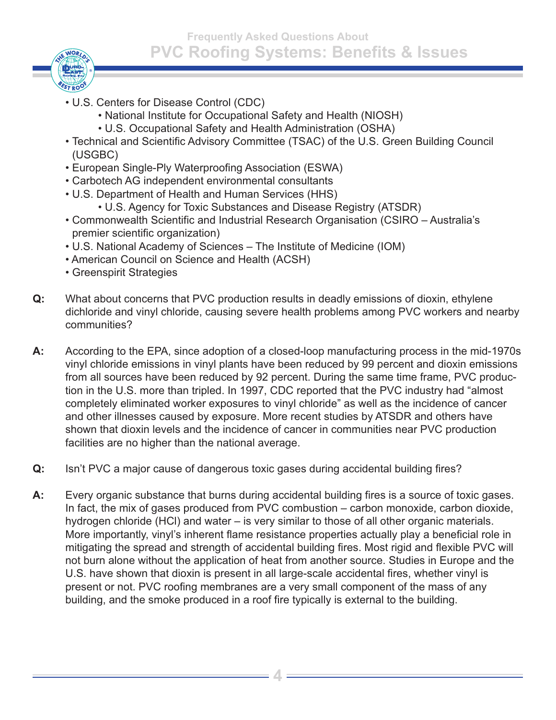**Frequently Asked Questions About PVC Roofing Systems: Benefits & Issues**



- U.S. Centers for Disease Control (CDC)
	- National Institute for Occupational Safety and Health (NIOSH)
	- U.S. Occupational Safety and Health Administration (OSHA)
- Technical and Scientific Advisory Committee (TSAC) of the U.S. Green Building Council (USGBC)
- European Single-Ply Waterproofing Association (ESWA)
- Carbotech AG independent environmental consultants
- U.S. Department of Health and Human Services (HHS)
	- U.S. Agency for Toxic Substances and Disease Registry (ATSDR)
- Commonwealth Scientific and Industrial Research Organisation (CSIRO Australia's premier scientific organization)
- U.S. National Academy of Sciences The Institute of Medicine (IOM)
- American Council on Science and Health (ACSH)
- Greenspirit Strategies
- **Q:** What about concerns that PVC production results in deadly emissions of dioxin, ethylene dichloride and vinyl chloride, causing severe health problems among PVC workers and nearby communities?
- **A:** According to the EPA, since adoption of a closed-loop manufacturing process in the mid-1970s vinyl chloride emissions in vinyl plants have been reduced by 99 percent and dioxin emissions from all sources have been reduced by 92 percent. During the same time frame, PVC production in the U.S. more than tripled. In 1997, CDC reported that the PVC industry had "almost completely eliminated worker exposures to vinyl chloride" as well as the incidence of cancer and other illnesses caused by exposure. More recent studies by ATSDR and others have shown that dioxin levels and the incidence of cancer in communities near PVC production facilities are no higher than the national average.
- **Q:** Isn't PVC a major cause of dangerous toxic gases during accidental building fires?
- **A:** Every organic substance that burns during accidental building fires is a source of toxic gases. In fact, the mix of gases produced from PVC combustion – carbon monoxide, carbon dioxide, hydrogen chloride (HCl) and water – is very similar to those of all other organic materials. More importantly, vinyl's inherent flame resistance properties actually play a beneficial role in mitigating the spread and strength of accidental building fires. Most rigid and flexible PVC will not burn alone without the application of heat from another source. Studies in Europe and the U.S. have shown that dioxin is present in all large-scale accidental fires, whether vinyl is present or not. PVC roofing membranes are a very small component of the mass of any building, and the smoke produced in a roof fire typically is external to the building.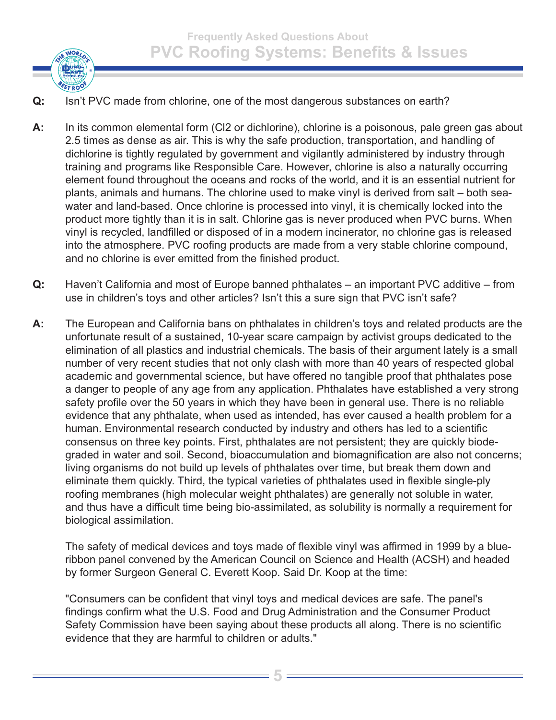

- **Q:** Isn't PVC made from chlorine, one of the most dangerous substances on earth?
- **A:** In its common elemental form (Cl2 or dichlorine), chlorine is a poisonous, pale green gas about 2.5 times as dense as air. This is why the safe production, transportation, and handling of dichlorine is tightly regulated by government and vigilantly administered by industry through training and programs like Responsible Care. However, chlorine is also a naturally occurring element found throughout the oceans and rocks of the world, and it is an essential nutrient for plants, animals and humans. The chlorine used to make vinyl is derived from salt – both seawater and land-based. Once chlorine is processed into vinyl, it is chemically locked into the product more tightly than it is in salt. Chlorine gas is never produced when PVC burns. When vinyl is recycled, landfilled or disposed of in a modern incinerator, no chlorine gas is released into the atmosphere. PVC roofing products are made from a very stable chlorine compound, and no chlorine is ever emitted from the finished product.
- **Q:** Haven't California and most of Europe banned phthalates an important PVC additive from use in children's toys and other articles? Isn't this a sure sign that PVC isn't safe?
- **A:** The European and California bans on phthalates in children's toys and related products are the unfortunate result of a sustained, 10-year scare campaign by activist groups dedicated to the elimination of all plastics and industrial chemicals. The basis of their argument lately is a small number of very recent studies that not only clash with more than 40 years of respected global academic and governmental science, but have offered no tangible proof that phthalates pose a danger to people of any age from any application. Phthalates have established a very strong safety profile over the 50 years in which they have been in general use. There is no reliable evidence that any phthalate, when used as intended, has ever caused a health problem for a human. Environmental research conducted by industry and others has led to a scientific consensus on three key points. First, phthalates are not persistent; they are quickly biodegraded in water and soil. Second, bioaccumulation and biomagnification are also not concerns; living organisms do not build up levels of phthalates over time, but break them down and eliminate them quickly. Third, the typical varieties of phthalates used in flexible single-ply roofing membranes (high molecular weight phthalates) are generally not soluble in water, and thus have a difficult time being bio-assimilated, as solubility is normally a requirement for biological assimilation.

The safety of medical devices and toys made of flexible vinyl was affirmed in 1999 by a blueribbon panel convened by the American Council on Science and Health (ACSH) and headed by former Surgeon General C. Everett Koop. Said Dr. Koop at the time:

"Consumers can be confident that vinyl toys and medical devices are safe. The panel's findings confirm what the U.S. Food and Drug Administration and the Consumer Product Safety Commission have been saying about these products all along. There is no scientific evidence that they are harmful to children or adults."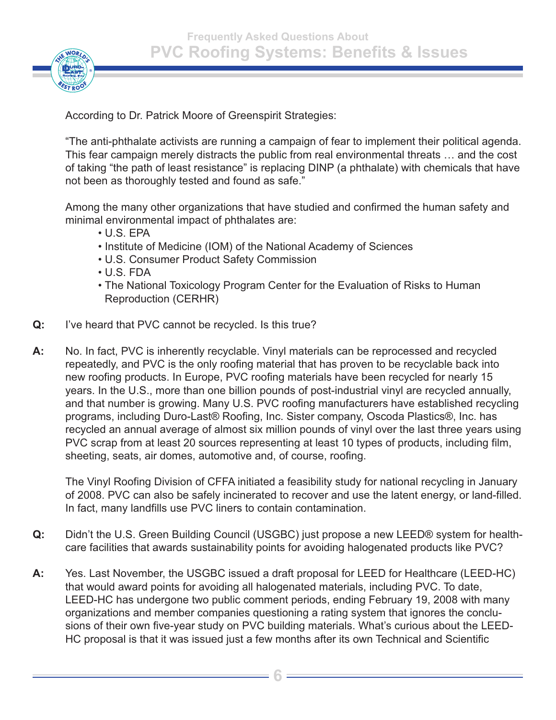



According to Dr. Patrick Moore of Greenspirit Strategies:

"The anti-phthalate activists are running a campaign of fear to implement their political agenda. This fear campaign merely distracts the public from real environmental threats … and the cost of taking "the path of least resistance" is replacing DINP (a phthalate) with chemicals that have not been as thoroughly tested and found as safe."

Among the many other organizations that have studied and confirmed the human safety and minimal environmental impact of phthalates are:

- U.S. EPA
- Institute of Medicine (IOM) of the National Academy of Sciences
- U.S. Consumer Product Safety Commission
- U.S. FDA
- The National Toxicology Program Center for the Evaluation of Risks to Human Reproduction (CERHR)
- **Q:** I've heard that PVC cannot be recycled. Is this true?
- **A:** No. In fact, PVC is inherently recyclable. Vinyl materials can be reprocessed and recycled repeatedly, and PVC is the only roofing material that has proven to be recyclable back into new roofing products. In Europe, PVC roofing materials have been recycled for nearly 15 years. In the U.S., more than one billion pounds of post-industrial vinyl are recycled annually, and that number is growing. Many U.S. PVC roofing manufacturers have established recycling programs, including Duro-Last® Roofing, Inc. Sister company, Oscoda Plastics®, Inc. has recycled an annual average of almost six million pounds of vinyl over the last three years using PVC scrap from at least 20 sources representing at least 10 types of products, including film, sheeting, seats, air domes, automotive and, of course, roofing.

The Vinyl Roofing Division of CFFA initiated a feasibility study for national recycling in January of 2008. PVC can also be safely incinerated to recover and use the latent energy, or land-filled. In fact, many landfills use PVC liners to contain contamination.

- **Q:** Didn't the U.S. Green Building Council (USGBC) just propose a new LEED® system for healthcare facilities that awards sustainability points for avoiding halogenated products like PVC?
- **A:** Yes. Last November, the USGBC issued a draft proposal for LEED for Healthcare (LEED-HC) that would award points for avoiding all halogenated materials, including PVC. To date, LEED-HC has undergone two public comment periods, ending February 19, 2008 with many organizations and member companies questioning a rating system that ignores the conclusions of their own five-year study on PVC building materials. What's curious about the LEED-HC proposal is that it was issued just a few months after its own Technical and Scientific